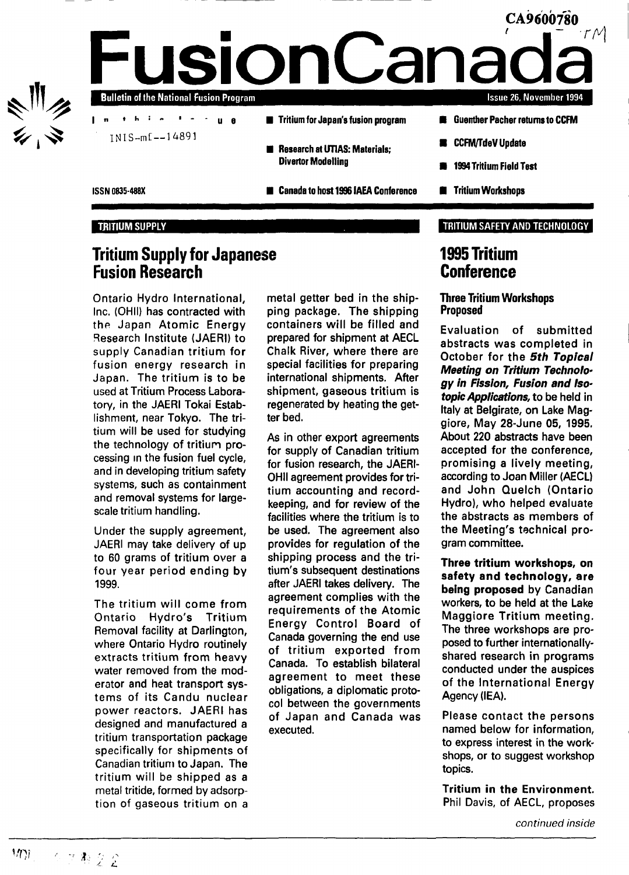

### TRITIUM SUPPLY

## **Tritium Supply for Japanese Fusion Research**

Ontario Hydro International, Inc. (OHII) has contracted with the Japan Atomic Energy Research Institute (JAERI) to supply Canadian tritium for fusion energy research in Japan. The tritium is to be used at Tritium Process Laboratory, in the JAERI Tokai Establishment, near Tokyo. The tritium will be used for studying the technology of tritium processing in the fusion fuel cycle, and in developing tritium safety systems, such as containment and removal systems for largescale tritium handling.

Under the supply agreement, JAERI may take delivery of up to 60 grams of tritium over a four year period ending by 1999.

The tritium will come from Ontario Hydro's Tritium Removal facility at Darlington, where Ontario Hydro routinely extracts tritium from heavy water removed from the moderator and heat transport systems of its Candu nuclear power reactors. JAERI has designed and manufactured a tritium transportation package specifically for shipments of Canadian tritium to Japan. The tritium will be shipped as a metal tritide, formed by adsorption of gaseous tritium on a metal getter bed in the shipping package. The shipping containers will be filled and prepared for shipment at AECL Chalk River, where there are special facilities for preparing international shipments. After shipment, gaseous tritium is regenerated by heating the getter bed.

As in other export agreements for supply of Canadian tritium for fusion research, the JAERI-OHII agreement provides for tritium accounting and recordkeeping, and for review of the facilities where the tritium is to be used. The agreement also provides for regulation of the shipping process and the tritium's subsequent destinations after JAERI takes delivery. The agreement complies with the requirements of the Atomic Energy Control Board of Canada governing the end use of tritium exported from Canada. To establish bilateral agreement to meet these obligations, a diplomatic protocol between the governments of Japan and Canada was executed.

### TRITIUM SAFETY AND TECHNOLOGY

## **1995 Tritium Conference**

## **Three Tritium Workshops Proposed**

Evaluation of submitted abstracts was completed in October for the 5th Topical Meeting on Tritium Technology in Fission, Fusion and Isotopic Applications, to be held in Italy at Belgirate, on Lake Maggiore, May 28-June 05, 1995. About 220 abstracts have been accepted for the conference, promising a lively meeting, according to Joan Miller (AECL) and John Quelch (Ontario Hydro), who helped evaluate the abstracts as members of the Meeting's technical program committee.

Three tritium workshops, on safety and technology, are being proposed by Canadian workers, to be held at the Lake Maggiore Tritium meeting. The three workshops are proposed to further internationallyshared research in programs conducted under the auspices of the International Energy Agency (IEA).

Please contact the persons named below for information, to express interest in the workshops, or to suggest workshop topics.

Tritium in the Environment. Phil Davis, of AECL, proposes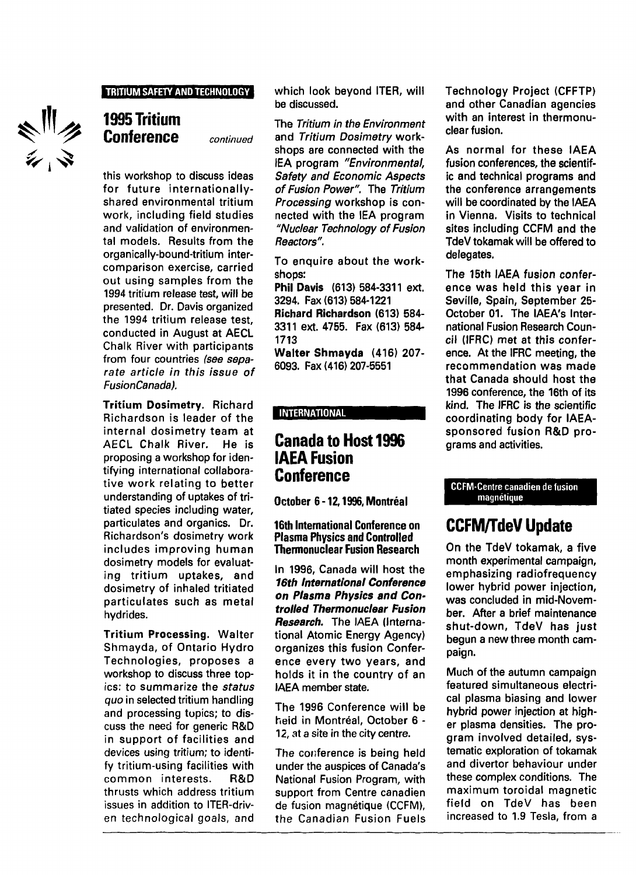## **TRITIUM SAFETY AND TECHNOLOGY**

ミッシュ

## **1995 Tritium Conference** *continued*

this workshop to discuss ideas for future internationallyshared environmental tritium work, including field studies and validation of environmental models. Results from the organically-bound-tritium intercomparison exercise, carried out using samples from the 1994 tritium release test, will be presented. Dr. Davis organized the 1994 tritium release test, conducted in August at AECL Chalk River with participants from four countries (see separate article in this issue of FusionCanada).

Tritium Dosimetry. Richard Richardson is leader of the internal dosimetry team at AECL Chalk River. He is proposing a workshop for identifying international collaborative work relating to better understanding of uptakes of tritiated species including water, particulates and organics. Dr. Richardson's dosimetry work includes improving human dosimetry models for evaluating tritium uptakes, and dosimetry of inhaled tritiated particulates such as metal hydrides.

Tritium Processing. Walter Shmayda, of Ontario Hydro Technologies, proposes a workshop to discuss three topics: to summarize the status quo in selected tritium handling and processing topics; to discuss the need for generic R&D in support of facilities and devices using tritium; to identify tritium-using facilities with common interests. R&D thrusts which address tritium issues in addition to ITER-driven technological goals, and

which look beyond ITER, will be discussed.

The Tritium in the Environment and Tritium Dosimetry workshops are connected with the IEA program "Environmental, Safety and Economic Aspects of Fusion Power". The Tritium Processing workshop is connected with the IEA program "Nuclear Technology of Fusion Reactors".

To enquire about the workshops:

Phil Davis (613) 584-3311 ext. 3294. Fax (613> 584-1221 Richard Richardson (613) 584- 3311 ext. 4755. Fax (613) 584- 1713

Walter Shmayda (416) 207- 6093. Fax (416) 207-5551

## **INTERNATIONAL**

## **Canada to Host 1996 IAEA Fusion Conference**

**October 6 -12,1996, Montréal**

### **16th International Conference on Plasma Physics and Controlled Thermonuclear Fusion Research**

In 1996, Canada will host the **16th International Conference on Plasma Physics and Controlled Thermonuclear Fusion** Research. The IAEA (International Atomic Energy Agency) organizes this fusion Conference every two years, and holds it in the country of an IAEA member state.

The 1996 Conference will be heid in Montréal, October 6 - 12, at a site in the city centre.

The conference is being held under the auspices of Canada's National Fusion Program, with support from Centre canadien de fusion magnétique (CCFM), the Canadian Fusion Fuels

Technology Project (CFFTP) and other Canadian agencies with an interest in thermonuclear fusion.

As normal for these IAEA fusion conferences, the scientific and technical programs and the conference arrangements will be coordinated by the IAEA in Vienna. Visits to technical sites including CCFM and the TdeV tokamak will be offered to delegates.

The 15th IAEA fusion conference was held this year in Seville, Spain, September 25- October 01. The IAEA's International Fusion Research Council (IFRC) met at this conference. At the IFRC meeting, the recommendation was made that Canada should host the 1996 conference, the 16th of its kind. The IFRC is the scientific coordinating body for IAEAsponsored fusion R&D programs and activities.

#### **CCFM-Centre canadien de fusion magnétique**

# **CCFM/TdeV Update**

On the TdeV tokamak, a five month experimental campaign, emphasizing radiofrequency lower hybrid power injection, was concluded in mid-November. After a brief maintenance shut-down, TdeV has just begun a new three month campaign.

Much of the autumn campaign featured simultaneous electrical plasma biasing and lower hybrid power injection at higher plasma densities. The program involved detailed, systematic exploration of tokamak and divertor behaviour under these complex conditions. The maximum toroidal magnetic field on TdeV has been increased to 1.9 Tesla, from a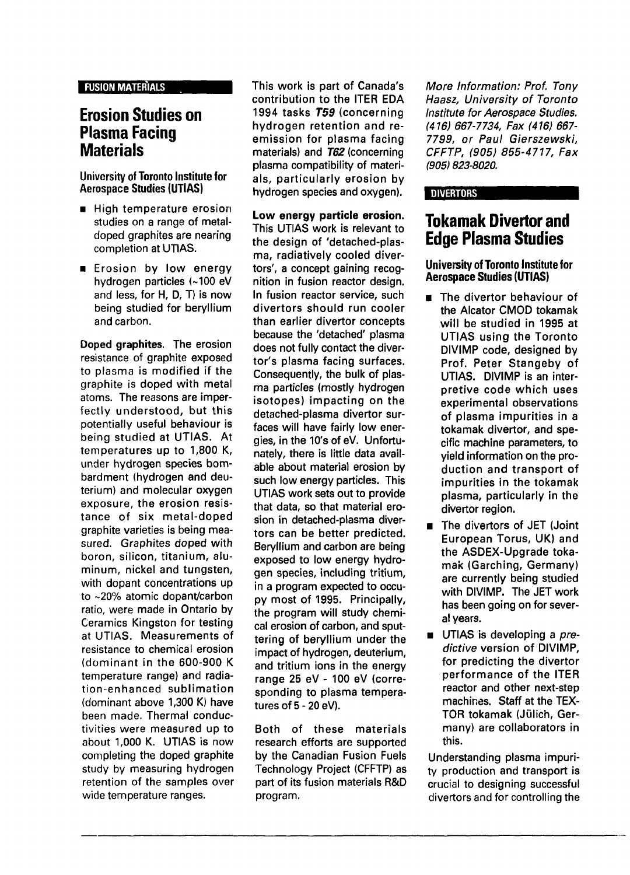#### FUSION MATERIALS

## **Erosion Studies on Plasma Facing Materials**

## University of **Toronto Institute for** Aerospace Studies **(UTIAS)**

- **•** High temperature erosion studies on a range of metaldoped graphites are nearing completion at UTIAS.
- **Example 18 Frosion by low energy** hydrogen particles (~100 eV and less, for H, D, T) is now being studied for beryllium and carbon.

Doped graphites. The erosion resistance of graphite exposed to plasma is modified if the graphite is doped with metal atoms. The reasons are imperfectly understood, but this potentially useful behaviour is being studied at UTIAS. At temperatures up to 1,800 K, under hydrogen species bombardment (hydrogen and deuterium) and molecular oxygen exposure, the erosion resistance of six metal-doped graphite varieties is being measured. Graphites doped with boron, silicon, titanium, aluminum, nickel and tungsten, with dopant concentrations up to ~20% atomic dopant/carbon ratio, were made in Ontario by Ceramics Kingston for testing at UTIAS. Measurements of resistance to chemical erosion (dominant in the 600-900 K temperature range) and radiation-enhanced sublimation (dominant above 1,300 K) have been made. Thermal conductivities were measured up to about 1,000 K. UTIAS is now completing the doped graphite study by measuring hydrogen retention of the samples over wide temperature ranges.

This work is part of Canada's contribution to the ITER EDA 1994 tasks **755** (concerning hydrogen retention and reemission for plasma facing materials) and **T62** (concerning plasma compatibility of materials, particularly erosion by hydrogen species and oxygen).

**Low energy particle erosion.** This UTIAS work is relevant to the design of 'detached-plasma, radiatively cooled divertors', a concept gaining recognition in fusion reactor design. In fusion reactor service, such divertors should run cooler than earlier divertor concepts because the 'detached' plasma does not fully contact the divertor's plasma facing surfaces. Consequently, the bulk of plasma particles (mostly hydrogen isotopes) impacting on the detached-plasma divertor surfaces will have fairly low energies, in the 10's of eV. Unfortunately, there is little data available about material erosion by such low energy particles. This UTIAS work sets out to provide that data, so that material erosion in detached-plasma divertors can be better predicted. Beryllium and carbon are being exposed to low energy hydrogen species, including tritium, in a program expected to occupy most of 1995. Principally, the program will study chemical erosion of carbon, and sputtering of beryllium under the impact of hydrogen, deuterium, and tritium ions in the energy range 25 eV - 100 eV (corresponding to plasma temperatures of 5-20 eV).

Both of these materials research efforts are supported by the Canadian Fusion Fuels Technology Project (CFFTP) as part of its fusion materials R&D program.

More Information: Prof. Tony Haasz, University of Toronto Institute for Aerospace Studies. (416} 667-7734, Fax (416) 667- 7799, or Paul Gierszewski, CFFTP, (905) 855-4717, Fax (905) 823-8020.

## DIVERTORS

# **Tokamak Divertor and Edge Plasma Studies**

**University of Toronto Institute for Aerospace Studies (UTIAS)**

- $\blacksquare$  The divertor behaviour of the Alcator CMOD tokamak will be studied in 1995 at UTIAS using the Toronto DIVIMP code, designed by Prof. Peter Stangeby of UTIAS. DIVIMP is an interpretive code which uses experimental observations of plasma impurities in a tokamak divertor, and specific machine parameters, to yield information on the production and transport of impurities in the tokamak plasma, particularly in the divertor region.
- The divertors of JET (Joint European Torus, UK) and the ASDEX-Upgrade tokamak (Garching, Germany) are currently being studied with DIVIMP. The JET work has been going on for several years.
- **UTIAS** is developing a predictive version of DIVIMP, for predicting the divertor performance of the ITER reactor and other next-step machines. Staff at the TEX-TOR tokamak (Jiilich, Germany) are collaborators in this.

Understanding plasma impurity production and transport is crucial to designing successful divertors and for controlling the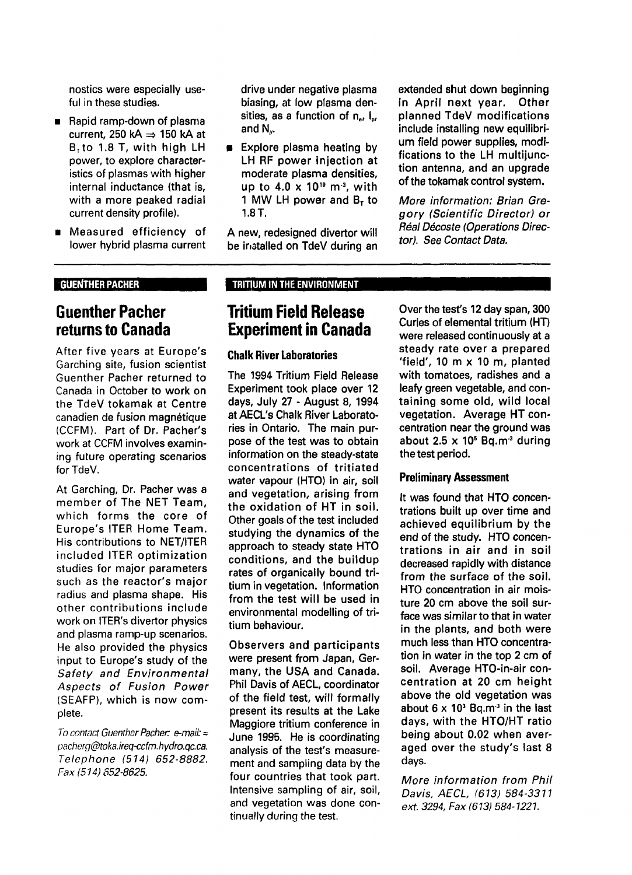nostics were especially useful in these studies.

- Rapid ramp-down of plasma current, 250 kA  $\Rightarrow$  150 kA at  $B<sub>1</sub>$  to 1.8 T, with high LH power, to explore characteristics of plasmas with higher internal inductance (that is, with a more peaked radial current density profile).
- Measured efficiency of  $\blacksquare$ lower hybrid plasma current

### GUENTHER PACHER

## **Guenther Pacher returns to Canada**

After five years at Europe's Garching site, fusion scientist Guenther Pacher returned to Canada in October to work on the TdeV tokamak at Centre canadien de fusion magnétique (CCFM). Part of Dr. Pacher's work at CCFM involves examining future operating scenarios for TdeV.

At Garching, Dr. Pacher was a member of The NET Team, which forms the core of Europe's ITER Home Team. His contributions to NET/ITER included ITER optimization studies for major parameters such as the reactor's major radius and plasma shape. His other contributions include work on ITER's divertor physics and plasma ramp-up scenarios. He also provided the physics input to Europe's study of the Safety and Environmental Aspects of Fusion Power (SEAFP), which is now complete.

To contact Guenther Pacher:  $e$ -mail: = pacherg@toka.ireq-ccfm.hydro.qc.ca. Telephone (514) 652-8882. Fax (514) 552-8625.

drive under negative plasma biasing, at low plasma densities, as a function of  $n_e$ ,  $l_{\alpha}$ , and  $N<sub>...</sub>$ 

**Explore plasma heating by** LH RF power injection at moderate plasma densities, up to 4.0 x 10 $^{\rm 10}$  m $^{\rm 3}$ , with 1 MW LH power and  $B<sub>r</sub>$  to 1.8 T.

A new, redesigned divertor will be installed on TdeV during an extended shut down beginning in April next year. Other planned TdeV modifications include installing new equilibrium field power supplies, modifications to the LH multijunction antenna, and an upgrade of the tokamak control system.

More information: Brian Gregory (Scientific Director) or Real Décoste (Operations Director). See Contact Data.

## TRITIUM IN THE ENVIRONMENT

## **Tritium Field Release Experiment in Canada**

### **Chalk River Laboratories**

The 1994 Tritium Field Release Experiment took place over 12 days, July 27 - August 8, 1994 at AECL's Chalk River Laboratories in Ontario. The main purpose of the test was to obtain information on the steady-state concentrations of tritiated water vapour (HTO) in air, soil and vegetation, arising from the oxidation of HT in soil. Other goals of the test included studying the dynamics of the approach to steady state HTO conditions, and the buildup rates of organically bound tritium in vegetation. Information from the test will be used in environmental modelling of tritium behaviour.

Observers and participants were present from Japan, Germany, the USA and Canada. Phil Davis of AECL, coordinator of the field test, will formally present its results at the Lake Maggiore tritium conference in June 1995. He is coordinating analysis of the test's measurement and sampling data by the four countries that took part. Intensive sampling of air, soil, and vegetation was done continually during the test.

Over the test's 12 day span, 300 Curies of elemental tritium (HT) were released continuously at a steady rate over a prepared 'field', 10 m x 10 m, planted with tomatoes, radishes and a leafy green vegetable, and containing some old, wild local vegetation. Average HT concentration near the ground was about  $2.5 \times 10^5$  Bq.m<sup>3</sup> during the test period.

### **Preliminary Assessment**

It was found that HTO concentrations built up over time and achieved equilibrium by the end of the study. HTO concentrations in air and in soil decreased rapidly with distance from the surface of the soil. HTO concentration in air moisture 20 cm above the soil surface was similar to that in water in the plants, and both were much less than HTO concentration in water in the top 2 cm of soil. Average HTO-in-air concentration at 20 cm height above the old vegetation was about 6 x 10<sup>3</sup> Bq.m<sup>3</sup> in the last days, with the HTO/HT ratio being about 0.02 when averaged over the study's last 8 days.

More information from Phil Davis, AECL, (613) 584-3311 ext. 3294, Fax (613) 584-1221.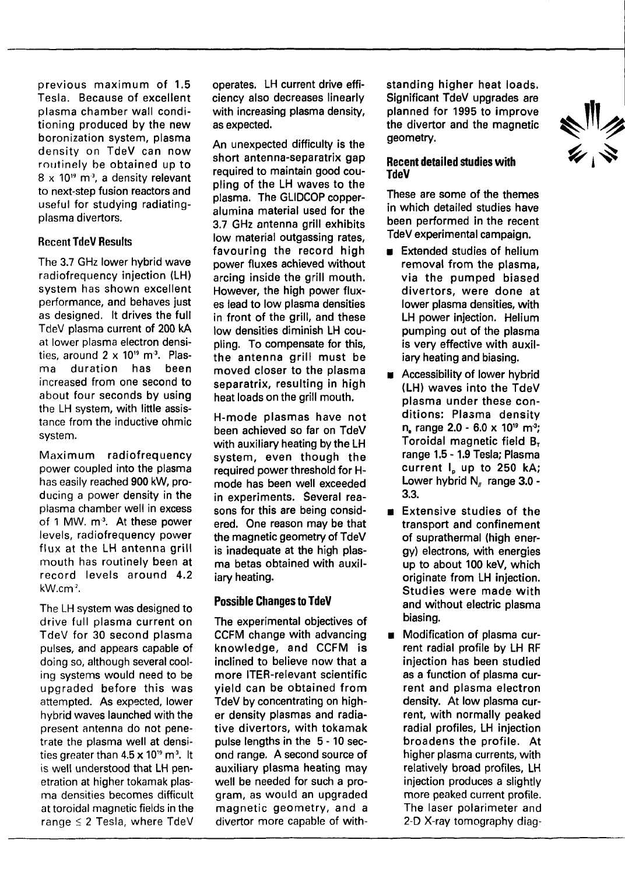previous maximum of 1.5 Tesla. Because of excellent plasma chamber wall conditioning produced by the new boronization system, plasma density on TdeV can now routinely be obtained up to  $8 \times 10^{19}$  m<sup>3</sup>, a density relevant to next-step fusion reactors and useful for studying radiatingplasma divertors.

## Recent TdeV Results

The 3.7 GHz lower hybrid wave radiofrequency injection (LH) system has shown excellent performance, and behaves just as designed. It drives the full TdeV plasma current of 200 kA at lower plasma electron densities, around  $2 \times 10^{19}$  m<sup>3</sup>. Plasma duration has been increased from one second to about four seconds by using the LH system, with little assistance from the inductive ohmic system.

Maximum radiofrequency power coupled into the plasma has easily reached 900 kW, producing a power density in the plasma chamber well in excess of 1 MW. m<sup>3</sup>. At these power levels, radiofrequency power flux at the LH antenna grill mouth has routinely been at record levels around 4.2 kW.cm<sup>2</sup>.

The LH system was designed to drive full plasma current on TdeV for 30 second plasma pulses, and appears capable of doing so, although several cooling systems would need to be upgraded before this was attempted. As expected, lower hybrid waves launched with the present antenna do not penetrate the plasma well at densities greater than 4.5  $\times$  10<sup>19</sup> m<sup>3</sup>. It is well understood that LH penetration at higher tokamak plasma densities becomes difficult at toroidal magnetic fields in the range < 2 Tesla, where TdeV

operates. LH current drive efficiency also decreases linearly with increasing plasma density. as expected.

An unexpected difficulty is the short antenna-separatrix gap required to maintain good coupling of the LH waves to the plasma. The GLIDCOP copperalumina material used for the 3.7 GHz antenna grill exhibits low material outgassing rates, favouring the record high power fluxes achieved without arcing inside the grill mouth. However, the high power fluxes lead to low plasma densities in front of the grill, and these low densities diminish LH coupling. To compensate for this, the antenna grill must be moved closer to the plasma separatrix, resulting in high heat loads on the grill mouth.

H-mode plasmas have not been achieved so far on TdeV with auxiliary heating by the LH system, even though the required power threshold for Hmode has been well exceeded in experiments. Several reasons for this are being considered. One reason may be that the magnetic geometry of TdeV is inadequate at the high plasma betas obtained with auxiliary heating.

## **Possible Changes to TdeV**

The experimental objectives of CCFM change with advancing knowledge, and CCFM is inclined to believe now that a more ITER-relevant scientific yield can be obtained from TdeV by concentrating on higher density plasmas and radiative divertors, with tokamak pulse lengths in the 5-10 second range. A second source of auxiliary plasma heating may well be needed for such a program, as would an upgraded magnetic geometry, and a divertor more capable of withstanding higher heat loads. Significant TdeV upgrades are planned for 1995 to improve the divertor and the magnetic geometry.

## **Recent detailed studies with TdeV**

These are some of the themes in which detailed studies have been performed in the recent TdeV experimental campaign.

- **Extended studies of helium** removal from the plasma, via the pumped biased divertors, were done at lower plasma densities, with LH power injection. Helium pumping out of the plasma is very effective with auxiliary heating and biasing.
- **EXECCESSIBILITY OF LOWER hybrid** (LH) waves into the TdeV plasma under these conditions: Plasma density n, range 2.0 - 6.0 x 10<sup>19</sup> m<sup>3</sup>; Toroidal magnetic field  $B<sub>r</sub>$ range 1.5-1.9 Tesla; Plasma current  $I<sub>n</sub>$  up to 250 kA; Lower hybrid  $N_{\text{H}}$  range 3.0 -3.3.
- **Extensive studies of the** transport and confinement of suprathermal (high energy) electrons, with energies up to about 100 keV, which originate from LH injection. Studies were made with and without electric plasma biasing.
- Modification of plasma current radial profile by LH RF injection has been studied as a function of plasma current and plasma electron density. At low plasma current, with normally peaked radial profiles, LH injection broadens the profile. At higher plasma currents, with relatively broad profiles, LH injection produces a slightly more peaked current profile. The laser polarimeter and 2-D X-ray tomography diag-